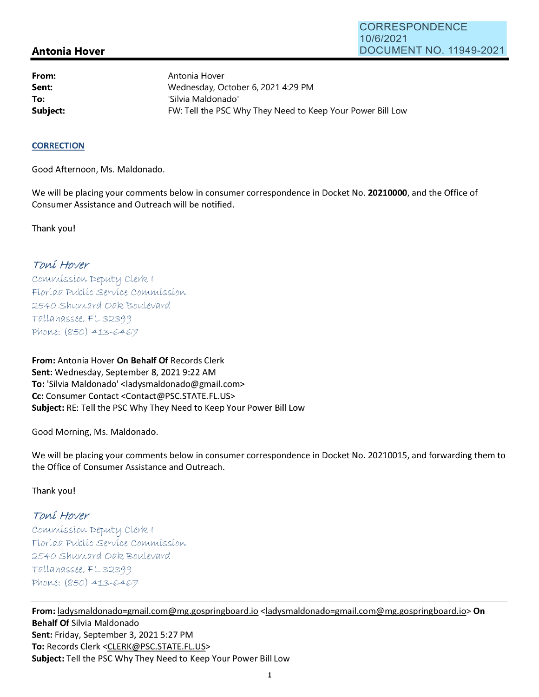## **Antonia Hover**

**From: Sent: To:** 

Antonia Hover Wednesday, October 6, 2021 4:29 PM 'Silvia Maldonado' Subject: **Subject: FW: Tell the PSC Why They Need to Keep Your Power Bill Low** 

#### **CORRECTION**

Good Afternoon, Ms. Maldonado.

We will be placing your comments below in consumer correspondence in Docket No. **20210000,** and the Office of Consumer Assistance and Outreach will be notified.

Thank you!

## Toní Hover

Commission Deputy Clerk 1 Florída Publíc Service Commission 2540 Shumard Oak Boulevard  $Tallahasse, FL 32399$ Phone: (850) 413-6467

**From:** Antonia Hover **On Behalf Of** Records Clerk **Sent:** Wednesday, September 8, 2021 9:22 AM **To:** 'Silvia Maldonado' <ladysmaldonado@gmail.com> **Cc:** Consumer Contact <Contact@PSC.STATE.FL.US> **Subject:** RE: Tell the PSC Why They Need to Keep Your Power Bill Low

Good Morning, Ms. Maldonado.

We will be placing your comments below in consumer correspondence in Docket No. 20210015, and forwarding them to the Office of Consumer Assistance and Outreach.

Thank you!

# Toní Hover

 $Commission$  Deputy Clerk I Florída Publíc Servíce Commission 2540 Shumard Oak Boulevard  $Tallahasse, FL 32399$ Phone: (850) 413-6467

**From:** ladysmaldonado=gmail.com@mg.gospringboard.io <ladysmaldonado=gmail.com@mg.gospringboard.io> **On Behalf Of** Silvia Maldonado **Sent:** Friday, September 3, 2021 5:27 PM **To:** Records Clerk <CLERK@PSC.STATE.FL.US> **Subject:** Tell the PSC Why They Need to Keep Your Power Bill Low